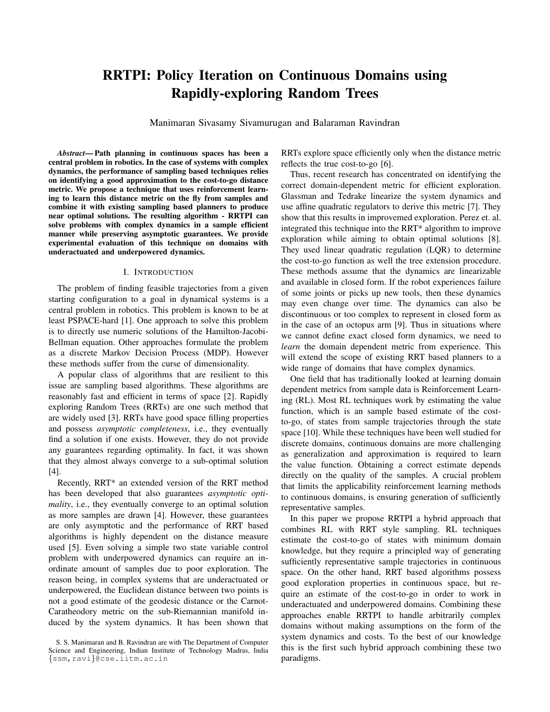# RRTPI: Policy Iteration on Continuous Domains using Rapidly-exploring Random Trees

Manimaran Sivasamy Sivamurugan and Balaraman Ravindran

*Abstract*— Path planning in continuous spaces has been a central problem in robotics. In the case of systems with complex dynamics, the performance of sampling based techniques relies on identifying a good approximation to the cost-to-go distance metric. We propose a technique that uses reinforcement learning to learn this distance metric on the fly from samples and combine it with existing sampling based planners to produce near optimal solutions. The resulting algorithm - RRTPI can solve problems with complex dynamics in a sample efficient manner while preserving asymptotic guarantees. We provide experimental evaluation of this technique on domains with underactuated and underpowered dynamics.

#### I. INTRODUCTION

The problem of finding feasible trajectories from a given starting configuration to a goal in dynamical systems is a central problem in robotics. This problem is known to be at least PSPACE-hard [1]. One approach to solve this problem is to directly use numeric solutions of the Hamilton-Jacobi-Bellman equation. Other approaches formulate the problem as a discrete Markov Decision Process (MDP). However these methods suffer from the curse of dimensionality.

A popular class of algorithms that are resilient to this issue are sampling based algorithms. These algorithms are reasonably fast and efficient in terms of space [2]. Rapidly exploring Random Trees (RRTs) are one such method that are widely used [3]. RRTs have good space filling properties and possess *asymptotic completeness*, i.e., they eventually find a solution if one exists. However, they do not provide any guarantees regarding optimality. In fact, it was shown that they almost always converge to a sub-optimal solution [4].

Recently, RRT\* an extended version of the RRT method has been developed that also guarantees *asymptotic optimality*, i.e., they eventually converge to an optimal solution as more samples are drawn [4]. However, these guarantees are only asymptotic and the performance of RRT based algorithms is highly dependent on the distance measure used [5]. Even solving a simple two state variable control problem with underpowered dynamics can require an inordinate amount of samples due to poor exploration. The reason being, in complex systems that are underactuated or underpowered, the Euclidean distance between two points is not a good estimate of the geodesic distance or the Carnot-Caratheodory metric on the sub-Riemannian manifold induced by the system dynamics. It has been shown that

RRTs explore space efficiently only when the distance metric reflects the true cost-to-go [6].

Thus, recent research has concentrated on identifying the correct domain-dependent metric for efficient exploration. Glassman and Tedrake linearize the system dynamics and use affine quadratic regulators to derive this metric [7]. They show that this results in improvemed exploration. Perez et. al. integrated this technique into the RRT\* algorithm to improve exploration while aiming to obtain optimal solutions [8]. They used linear quadratic regulation (LQR) to determine the cost-to-go function as well the tree extension procedure. These methods assume that the dynamics are linearizable and available in closed form. If the robot experiences failure of some joints or picks up new tools, then these dynamics may even change over time. The dynamics can also be discontinuous or too complex to represent in closed form as in the case of an octopus arm [9]. Thus in situations where we cannot define exact closed form dynamics, we need to *learn* the domain dependent metric from experience. This will extend the scope of existing RRT based planners to a wide range of domains that have complex dynamics.

One field that has traditionally looked at learning domain dependent metrics from sample data is Reinforcement Learning (RL). Most RL techniques work by estimating the value function, which is an sample based estimate of the costto-go, of states from sample trajectories through the state space [10]. While these techniques have been well studied for discrete domains, continuous domains are more challenging as generalization and approximation is required to learn the value function. Obtaining a correct estimate depends directly on the quality of the samples. A crucial problem that limits the applicability reinforcement learning methods to continuous domains, is ensuring generation of sufficiently representative samples.

In this paper we propose RRTPI a hybrid approach that combines RL with RRT style sampling. RL techniques estimate the cost-to-go of states with minimum domain knowledge, but they require a principled way of generating sufficiently representative sample trajectories in continuous space. On the other hand, RRT based algorithms possess good exploration properties in continuous space, but require an estimate of the cost-to-go in order to work in underactuated and underpowered domains. Combining these approaches enable RRTPI to handle arbitrarily complex domains without making assumptions on the form of the system dynamics and costs. To the best of our knowledge this is the first such hybrid approach combining these two paradigms.

S. S. Manimaran and B. Ravindran are with The Department of Computer Science and Engineering, Indian Institute of Technology Madras, India {ssm,ravi}@cse.iitm.ac.in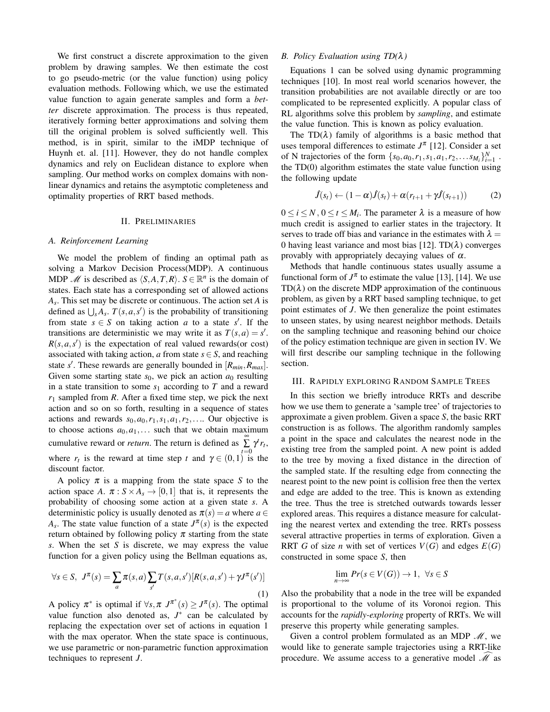We first construct a discrete approximation to the given problem by drawing samples. We then estimate the cost to go pseudo-metric (or the value function) using policy evaluation methods. Following which, we use the estimated value function to again generate samples and form a *better* discrete approximation. The process is thus repeated, iteratively forming better approximations and solving them till the original problem is solved sufficiently well. This method, is in spirit, similar to the iMDP technique of Huynh et. al. [11]. However, they do not handle complex dynamics and rely on Euclidean distance to explore when sampling. Our method works on complex domains with nonlinear dynamics and retains the asymptotic completeness and optimality properties of RRT based methods.

## II. PRELIMINARIES

### *A. Reinforcement Learning*

We model the problem of finding an optimal path as solving a Markov Decision Process(MDP). A continuous MDP  $\mathcal M$  is described as  $\langle S, A, T, R \rangle$ .  $S \in \mathbb{R}^n$  is the domain of states. Each state has a corresponding set of allowed actions *As* . This set may be discrete or continuous. The action set *A* is defined as  $\bigcup_s A_s$ .  $T(s, a, s')$  is the probability of transitioning from state  $s \in S$  on taking action *a* to a state *s'*. If the transitions are deterministic we may write it as  $T(s, a) = s'$ .  $R(s, a, s')$  is the expectation of real valued rewards(or cost) associated with taking action, *a* from state  $s \in S$ , and reaching state *s'*. These rewards are generally bounded in  $[R_{min}, R_{max}]$ . Given some starting state  $s_0$ , we pick an action  $a_0$  resulting in a state transition to some  $s_1$  according to  $T$  and a reward *r*<sup>1</sup> sampled from *R*. After a fixed time step, we pick the next action and so on so forth, resulting in a sequence of states actions and rewards  $s_0$ ,  $a_0$ ,  $r_1$ ,  $s_1$ ,  $a_1$ ,  $r_2$ ,.... Our objective is to choose actions  $a_0, a_1, \ldots$  such that we obtain maximum cumulative reward or *return*. The return is defined as  $\sum_{r=1}^{\infty} \gamma^r r_t$ , where  $r_t$  is the reward at time step *t* and  $\gamma \in (0,1)$  is the discount factor.

A policy  $\pi$  is a mapping from the state space *S* to the action space *A*.  $\pi : S \times A_s \rightarrow [0,1]$  that is, it represents the probability of choosing some action at a given state *s*. A deterministic policy is usually denoted as  $\pi(s) = a$  where  $a \in$ *A<sub>s</sub>*. The state value function of a state  $J^{\pi}(s)$  is the expected return obtained by following policy  $\pi$  starting from the state *s*. When the set *S* is discrete, we may express the value function for a given policy using the Bellman equations as,

$$
\forall s \in S, \ J^{\pi}(s) = \sum_{a} \pi(s, a) \sum_{s'} T(s, a, s') [R(s, a, s') + \gamma J^{\pi}(s')]
$$
\n(1)

A policy  $\pi^*$  is optimal if  $\forall s, \pi \, J^{\pi^*}(s) \geq J^{\pi}(s)$ . The optimal value function also denoted as,  $J^*$  can be calculated by replacing the expectation over set of actions in equation 1 with the max operator. When the state space is continuous, we use parametric or non-parametric function approximation techniques to represent *J*.

#### *B. Policy Evaluation using TD(*λ*)*

Equations 1 can be solved using dynamic programming techniques [10]. In most real world scenarios however, the transition probabilities are not available directly or are too complicated to be represented explicitly. A popular class of RL algorithms solve this problem by *sampling*, and estimate the value function. This is known as policy evaluation.

The TD( $\lambda$ ) family of algorithms is a basic method that uses temporal differences to estimate  $J^{\pi}$  [12]. Consider a set of N trajectories of the form  $\{s_0, a_0, r_1, s_1, a_1, r_2, \ldots s_{M_i}\}_{i=1}^N$ . the TD(0) algorithm estimates the state value function using the following update

$$
\hat{J}(s_t) \leftarrow (1-\alpha)\hat{J}(s_t) + \alpha(r_{t+1} + \gamma \hat{J}(s_{t+1})) \tag{2}
$$

 $0 \le i \le N$ ,  $0 \le t \le M_i$ . The parameter  $\lambda$  is a measure of how much credit is assigned to earlier states in the trajectory. It serves to trade off bias and variance in the estimates with  $\lambda =$ 0 having least variance and most bias [12]. TD( $\lambda$ ) converges provably with appropriately decaying values of  $\alpha$ .

Methods that handle continuous states usually assume a functional form of  $J^{\pi}$  to estimate the value [13], [14]. We use  $TD(\lambda)$  on the discrete MDP approximation of the continuous problem, as given by a RRT based sampling technique, to get point estimates of *J*. We then generalize the point estimates to unseen states, by using nearest neighbor methods. Details on the sampling technique and reasoning behind our choice of the policy estimation technique are given in section IV. We will first describe our sampling technique in the following section.

#### III. RAPIDLY EXPLORING RANDOM SAMPLE TREES

In this section we briefly introduce RRTs and describe how we use them to generate a 'sample tree' of trajectories to approximate a given problem. Given a space *S*, the basic RRT construction is as follows. The algorithm randomly samples a point in the space and calculates the nearest node in the existing tree from the sampled point. A new point is added to the tree by moving a fixed distance in the direction of the sampled state. If the resulting edge from connecting the nearest point to the new point is collision free then the vertex and edge are added to the tree. This is known as extending the tree. Thus the tree is stretched outwards towards lesser explored areas. This requires a distance measure for calculating the nearest vertex and extending the tree. RRTs possess several attractive properties in terms of exploration. Given a **RRT** *G* of size *n* with set of vertices  $V(G)$  and edges  $E(G)$ constructed in some space *S*, then

$$
\lim_{n \to \infty} Pr(s \in V(G)) \to 1, \ \forall s \in S
$$

Also the probability that a node in the tree will be expanded is proportional to the volume of its Voronoi region. This accounts for the *rapidly-exploring* property of RRTs. We will preserve this property while generating samples.

Given a control problem formulated as an MDP  $\mathcal{M}$ , we would like to generate sample trajectories using a RRT-like procedure. We assume access to a generative model  $\mathcal{M}$  as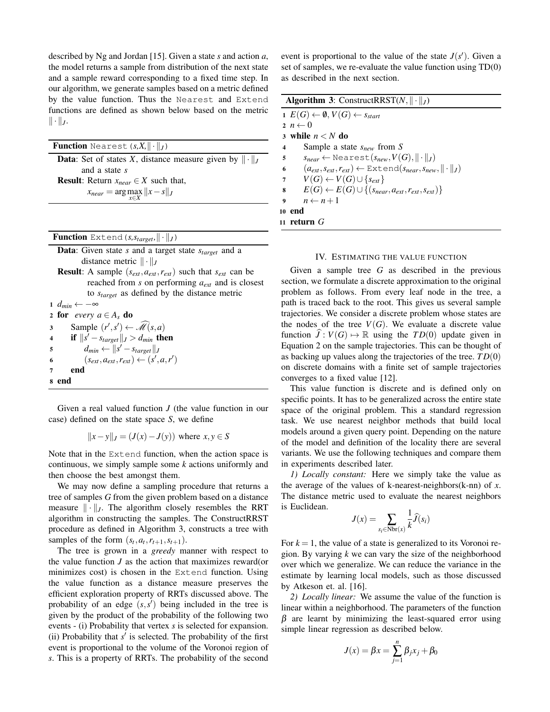described by Ng and Jordan [15]. Given a state *s* and action *a*, the model returns a sample from distribution of the next state and a sample reward corresponding to a fixed time step. In our algorithm, we generate samples based on a metric defined by the value function. Thus the Nearest and Extend functions are defined as shown below based on the metric  $\|\cdot\|_J$ .

| <b>Function</b> Nearest $(s, X, \ \cdot\ _J)$                         |
|-----------------------------------------------------------------------|
| <b>Data:</b> Set of states X, distance measure given by $\ \cdot\ _J$ |
| and a state s                                                         |
| <b>Result:</b> Return $x_{near} \in X$ such that,                     |
| $x_{near} = \arg \max_{x \in X}   x - s  _J$                          |
|                                                                       |

| <b>Function</b> Extend $(s, s_{target}, \ \cdot\ _J)$ |  |  |  |  |  |  |
|-------------------------------------------------------|--|--|--|--|--|--|
|-------------------------------------------------------|--|--|--|--|--|--|

- Data: Given state *s* and a target state *starget* and a distance metric  $\|\cdot\|_J$
- **Result:** A sample  $(s_{ext}, a_{ext}, r_{ext})$  such that  $s_{ext}$  can be reached from *s* on performing *aext* and is closest to *starget* as defined by the distance metric

1  $d_{min}$  ← −∞ 2 for *every*  $a \in A_s$  do  $\text{Sample } (r', s') \leftarrow \widehat{\mathcal{M}}(s, a)$ 4 **if**  $\|s' - s_{target}\|_J > d_{min}$  then  $d_{min} \leftarrow ||s' - s_{target}||_J$ 6  $(s_{ext}, a_{ext}, r_{ext}) \leftarrow (s', a, r')$ 7 end 8 end

Given a real valued function *J* (the value function in our case) defined on the state space *S*, we define

 $||x - y||_I$  = (*J*(*x*) − *J*(*y*)) where *x*, *y* ∈ *S* 

Note that in the Extend function, when the action space is continuous, we simply sample some *k* actions uniformly and then choose the best amongst them.

We may now define a sampling procedure that returns a tree of samples *G* from the given problem based on a distance measure  $\|\cdot\|_I$ . The algorithm closely resembles the RRT algorithm in constructing the samples. The ConstructRRST procedure as defined in Algorithm 3, constructs a tree with samples of the form  $(s_t, a_t, r_{t+1}, s_{t+1})$ .

The tree is grown in a *greedy* manner with respect to the value function *J* as the action that maximizes reward(or minimizes cost) is chosen in the Extend function. Using the value function as a distance measure preserves the efficient exploration property of RRTs discussed above. The probability of an edge  $(s, s')$  being included in the tree is given by the product of the probability of the following two events - (i) Probability that vertex *s* is selected for expansion. (ii) Probability that  $s'$  is selected. The probability of the first event is proportional to the volume of the Voronoi region of *s*. This is a property of RRTs. The probability of the second

event is proportional to the value of the state  $J(s')$ . Given a set of samples, we re-evaluate the value function using TD(0) as described in the next section.

|                         | <b>Algorithm 3:</b> ConstructRRST( $N$ , $\ \cdot\ _J$ )                             |
|-------------------------|--------------------------------------------------------------------------------------|
|                         | $1 E(G) \leftarrow \emptyset, V(G) \leftarrow s_{start}$                             |
|                         | $2 n \leftarrow 0$                                                                   |
|                         | 3 while $n < N$ do                                                                   |
| $\overline{\mathbf{4}}$ | Sample a state $s_{new}$ from S                                                      |
| 5                       | $s_{near} \leftarrow$ Nearest $(s_{new}, V(G), \ \cdot\ _J)$                         |
| 6                       | $(a_{ext}, s_{ext}, r_{ext}) \leftarrow$ Extend $(s_{near}, s_{new},    \cdot   _J)$ |
| 7 <sup>7</sup>          | $V(G) \leftarrow V(G) \cup \{s_{ext}\}\$                                             |
| 8                       | $E(G) \leftarrow E(G) \cup \{(s_{near}, a_{ext}, r_{ext}, s_{ext})\}$                |
| $\mathbf Q$             | $n \leftarrow n+1$                                                                   |
|                         | 10 end                                                                               |
|                         | 11 <b>return</b> G                                                                   |

## IV. ESTIMATING THE VALUE FUNCTION

Given a sample tree *G* as described in the previous section, we formulate a discrete approximation to the original problem as follows. From every leaf node in the tree, a path is traced back to the root. This gives us several sample trajectories. We consider a discrete problem whose states are the nodes of the tree  $V(G)$ . We evaluate a discrete value function  $J: V(G) \mapsto \mathbb{R}$  using the *TD*(0) update given in Equation 2 on the sample trajectories. This can be thought of as backing up values along the trajectories of the tree. *T D*(0) on discrete domains with a finite set of sample trajectories converges to a fixed value [12].

This value function is discrete and is defined only on specific points. It has to be generalized across the entire state space of the original problem. This a standard regression task. We use nearest neighbor methods that build local models around a given query point. Depending on the nature of the model and definition of the locality there are several variants. We use the following techniques and compare them in experiments described later.

*1) Locally constant:* Here we simply take the value as the average of the values of k-nearest-neighbors(k-nn) of *x*. The distance metric used to evaluate the nearest neighbors is Euclidean.

$$
J(x) = \sum_{s_i \in \text{Nbr}(x)} \frac{1}{k} \widehat{J}(s_i)
$$

For  $k = 1$ , the value of a state is generalized to its Voronoi region. By varying *k* we can vary the size of the neighborhood over which we generalize. We can reduce the variance in the estimate by learning local models, such as those discussed by Atkeson et. al. [16].

*2) Locally linear:* We assume the value of the function is linear within a neighborhood. The parameters of the function  $\beta$  are learnt by minimizing the least-squared error using simple linear regression as described below.

$$
J(x) = \beta x = \sum_{j=1}^{n} \beta_j x_j + \beta_0
$$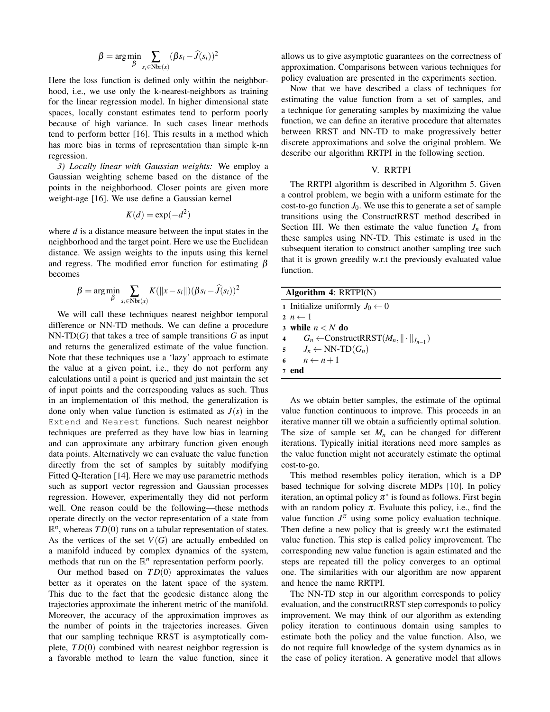$$
\beta = \arg\min_{\beta} \sum_{s_i \in \text{Nbr}(x)} (\beta s_i - \widehat{J}(s_i))^2
$$

Here the loss function is defined only within the neighborhood, i.e., we use only the k-nearest-neighbors as training for the linear regression model. In higher dimensional state spaces, locally constant estimates tend to perform poorly because of high variance. In such cases linear methods tend to perform better [16]. This results in a method which has more bias in terms of representation than simple k-nn regression.

*3) Locally linear with Gaussian weights:* We employ a Gaussian weighting scheme based on the distance of the points in the neighborhood. Closer points are given more weight-age [16]. We use define a Gaussian kernel

$$
K(d) = \exp(-d^2)
$$

where *d* is a distance measure between the input states in the neighborhood and the target point. Here we use the Euclidean distance. We assign weights to the inputs using this kernel and regress. The modified error function for estimating  $\beta$ becomes

$$
\beta = \arg\min_{\beta} \sum_{s_i \in \text{Nbr}(x)} K(||x - s_i||) (\beta s_i - \widehat{J}(s_i))^2
$$

We will call these techniques nearest neighbor temporal difference or NN-TD methods. We can define a procedure NN-TD(*G*) that takes a tree of sample transitions *G* as input and returns the generalized estimate of the value function. Note that these techniques use a 'lazy' approach to estimate the value at a given point, i.e., they do not perform any calculations until a point is queried and just maintain the set of input points and the corresponding values as such. Thus in an implementation of this method, the generalization is done only when value function is estimated as  $J(s)$  in the Extend and Nearest functions. Such nearest neighbor techniques are preferred as they have low bias in learning and can approximate any arbitrary function given enough data points. Alternatively we can evaluate the value function directly from the set of samples by suitably modifying Fitted Q-Iteration [14]. Here we may use parametric methods such as support vector regression and Gaussian processes regression. However, experimentally they did not perform well. One reason could be the following—these methods operate directly on the vector representation of a state from  $\mathbb{R}^n$ , whereas  $TD(0)$  runs on a tabular representation of states. As the vertices of the set  $V(G)$  are actually embedded on a manifold induced by complex dynamics of the system, methods that run on the  $\mathbb{R}^n$  representation perform poorly.

Our method based on  $TD(0)$  approximates the values better as it operates on the latent space of the system. This due to the fact that the geodesic distance along the trajectories approximate the inherent metric of the manifold. Moreover, the accuracy of the approximation improves as the number of points in the trajectories increases. Given that our sampling technique RRST is asymptotically complete,  $TD(0)$  combined with nearest neighbor regression is a favorable method to learn the value function, since it allows us to give asymptotic guarantees on the correctness of approximation. Comparisons between various techniques for policy evaluation are presented in the experiments section.

Now that we have described a class of techniques for estimating the value function from a set of samples, and a technique for generating samples by maximizing the value function, we can define an iterative procedure that alternates between RRST and NN-TD to make progressively better discrete approximations and solve the original problem. We describe our algorithm RRTPI in the following section.

#### V. RRTPI

The RRTPI algorithm is described in Algorithm 5. Given a control problem, we begin with a uniform estimate for the cost-to-go function  $J_0$ . We use this to generate a set of sample transitions using the ConstructRRST method described in Section III. We then estimate the value function  $J_n$  from these samples using NN-TD. This estimate is used in the subsequent iteration to construct another sampling tree such that it is grown greedily w.r.t the previously evaluated value function.

| Algorithm 4: $RRTPI(N)$                                           |
|-------------------------------------------------------------------|
| 1 Initialize uniformly $J_0 \leftarrow 0$                         |
| $2\ n \leftarrow 1$                                               |
| 3 while $n < N$ do                                                |
| 4 $G_n \leftarrow \text{ConstructRRST}(M_n, \ \cdot\ _{J_{n-1}})$ |
| 5 $J_n \leftarrow \text{NN-TD}(G_n)$                              |
| 6 $n \leftarrow n+1$                                              |
| 7 end                                                             |

As we obtain better samples, the estimate of the optimal value function continuous to improve. This proceeds in an iterative manner till we obtain a sufficiently optimal solution. The size of sample set  $M_n$  can be changed for different iterations. Typically initial iterations need more samples as the value function might not accurately estimate the optimal cost-to-go.

This method resembles policy iteration, which is a DP based technique for solving discrete MDPs [10]. In policy iteration, an optimal policy  $\pi^*$  is found as follows. First begin with an random policy  $\pi$ . Evaluate this policy, i.e., find the value function  $J^{\pi}$  using some policy evaluation technique. Then define a new policy that is greedy w.r.t the estimated value function. This step is called policy improvement. The corresponding new value function is again estimated and the steps are repeated till the policy converges to an optimal one. The similarities with our algorithm are now apparent and hence the name RRTPI.

The NN-TD step in our algorithm corresponds to policy evaluation, and the constructRRST step corresponds to policy improvement. We may think of our algorithm as extending policy iteration to continuous domain using samples to estimate both the policy and the value function. Also, we do not require full knowledge of the system dynamics as in the case of policy iteration. A generative model that allows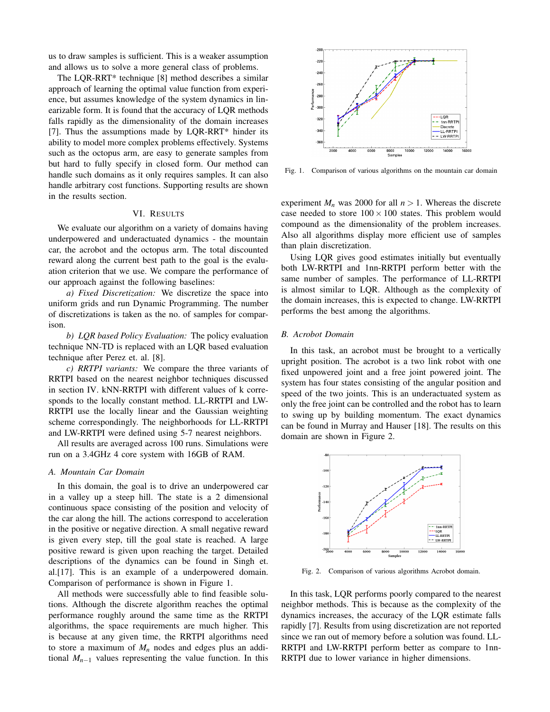us to draw samples is sufficient. This is a weaker assumption and allows us to solve a more general class of problems.

The LQR-RRT\* technique [8] method describes a similar approach of learning the optimal value function from experience, but assumes knowledge of the system dynamics in linearizable form. It is found that the accuracy of LQR methods falls rapidly as the dimensionality of the domain increases [7]. Thus the assumptions made by LQR-RRT\* hinder its ability to model more complex problems effectively. Systems such as the octopus arm, are easy to generate samples from but hard to fully specify in closed form. Our method can handle such domains as it only requires samples. It can also handle arbitrary cost functions. Supporting results are shown in the results section.

## VI. RESULTS

We evaluate our algorithm on a variety of domains having underpowered and underactuated dynamics - the mountain car, the acrobot and the octopus arm. The total discounted reward along the current best path to the goal is the evaluation criterion that we use. We compare the performance of our approach against the following baselines:

*a) Fixed Discretization:* We discretize the space into uniform grids and run Dynamic Programming. The number of discretizations is taken as the no. of samples for comparison.

*b) LQR based Policy Evaluation:* The policy evaluation technique NN-TD is replaced with an LQR based evaluation technique after Perez et. al. [8].

*c) RRTPI variants:* We compare the three variants of RRTPI based on the nearest neighbor techniques discussed in section IV. kNN-RRTPI with different values of k corresponds to the locally constant method. LL-RRTPI and LW-RRTPI use the locally linear and the Gaussian weighting scheme correspondingly. The neighborhoods for LL-RRTPI and LW-RRTPI were defined using 5-7 nearest neighbors.

All results are averaged across 100 runs. Simulations were run on a 3.4GHz 4 core system with 16GB of RAM.

## *A. Mountain Car Domain*

In this domain, the goal is to drive an underpowered car in a valley up a steep hill. The state is a 2 dimensional continuous space consisting of the position and velocity of the car along the hill. The actions correspond to acceleration in the positive or negative direction. A small negative reward is given every step, till the goal state is reached. A large positive reward is given upon reaching the target. Detailed descriptions of the dynamics can be found in Singh et. al.[17]. This is an example of a underpowered domain. Comparison of performance is shown in Figure 1.

All methods were successfully able to find feasible solutions. Although the discrete algorithm reaches the optimal performance roughly around the same time as the RRTPI algorithms, the space requirements are much higher. This is because at any given time, the RRTPI algorithms need to store a maximum of *M<sup>n</sup>* nodes and edges plus an additional  $M_{n-1}$  values representing the value function. In this



Fig. 1. Comparison of various algorithms on the mountain car domain

experiment  $M_n$  was 2000 for all  $n > 1$ . Whereas the discrete case needed to store  $100 \times 100$  states. This problem would compound as the dimensionality of the problem increases. Also all algorithms display more efficient use of samples than plain discretization.

Using LQR gives good estimates initially but eventually both LW-RRTPI and 1nn-RRTPI perform better with the same number of samples. The performance of LL-RRTPI is almost similar to LQR. Although as the complexity of the domain increases, this is expected to change. LW-RRTPI performs the best among the algorithms.

#### *B. Acrobot Domain*

In this task, an acrobot must be brought to a vertically upright position. The acrobot is a two link robot with one fixed unpowered joint and a free joint powered joint. The system has four states consisting of the angular position and speed of the two joints. This is an underactuated system as only the free joint can be controlled and the robot has to learn to swing up by building momentum. The exact dynamics can be found in Murray and Hauser [18]. The results on this domain are shown in Figure 2.



Fig. 2. Comparison of various algorithms Acrobot domain.

In this task, LQR performs poorly compared to the nearest neighbor methods. This is because as the complexity of the dynamics increases, the accuracy of the LQR estimate falls rapidly [7]. Results from using discretization are not reported since we ran out of memory before a solution was found. LL-RRTPI and LW-RRTPI perform better as compare to 1nn-RRTPI due to lower variance in higher dimensions.